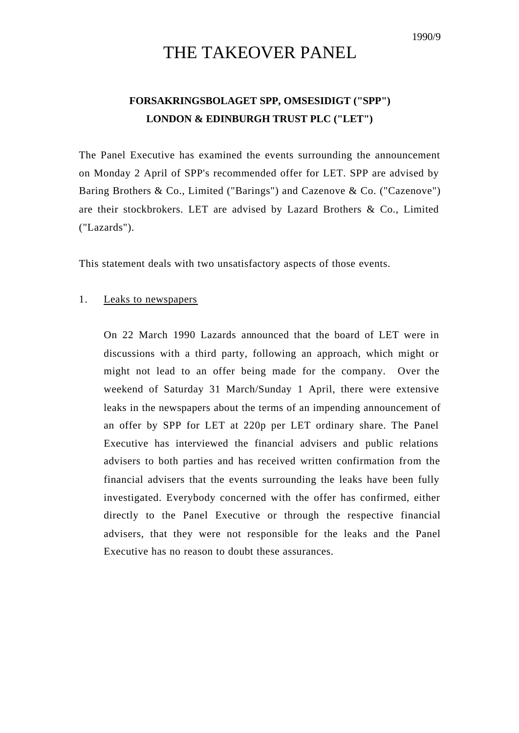## THE TAKEOVER PANEL

## **FORSAKRINGSBOLAGET SPP, OMSESIDIGT ("SPP") LONDON & EDINBURGH TRUST PLC ("LET")**

The Panel Executive has examined the events surrounding the announcement on Monday 2 April of SPP's recommended offer for LET. SPP are advised by Baring Brothers & Co., Limited ("Barings") and Cazenove & Co. ("Cazenove") are their stockbrokers. LET are advised by Lazard Brothers & Co., Limited ("Lazards").

This statement deals with two unsatisfactory aspects of those events.

## 1. Leaks to newspapers

On 22 March 1990 Lazards announced that the board of LET were in discussions with a third party, following an approach, which might or might not lead to an offer being made for the company. Over the weekend of Saturday 31 March/Sunday 1 April, there were extensive leaks in the newspapers about the terms of an impending announcement of an offer by SPP for LET at 220p per LET ordinary share. The Panel Executive has interviewed the financial advisers and public relations advisers to both parties and has received written confirmation from the financial advisers that the events surrounding the leaks have been fully investigated. Everybody concerned with the offer has confirmed, either directly to the Panel Executive or through the respective financial advisers, that they were not responsible for the leaks and the Panel Executive has no reason to doubt these assurances.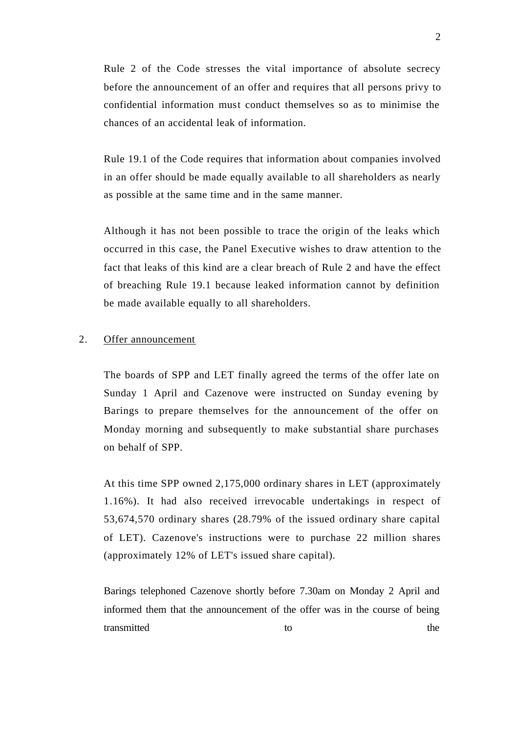Rule 2 of the Code stresses the vital importance of absolute secrecy before the announcement of an offer and requires that all persons privy to confidential information must conduct themselves so as to minimise the chances of an accidental leak of information.

Rule 19.1 of the Code requires that information about companies involved in an offer should be made equally available to all shareholders as nearly as possible at the same time and in the same manner.

Although it has not been possible to trace the origin of the leaks which occurred in this case, the Panel Executive wishes to draw attention to the fact that leaks of this kind are a clear breach of Rule 2 and have the effect of breaching Rule 19.1 because leaked information cannot by definition be made available equally to all shareholders.

## 2. Offer announcement

The boards of SPP and LET finally agreed the terms of the offer late on Sunday 1 April and Cazenove were instructed on Sunday evening by Barings to prepare themselves for the announcement of the offer on Monday morning and subsequently to make substantial share purchases on behalf of SPP.

At this time SPP owned 2,175,000 ordinary shares in LET (approximately 1.16%). It had also received irrevocable undertakings in respect of 53,674,570 ordinary shares (28.79% of the issued ordinary share capital of LET). Cazenove's instructions were to purchase 22 million shares (approximately 12% of LET's issued share capital).

Barings telephoned Cazenove shortly before 7.30am on Monday 2 April and informed them that the announcement of the offer was in the course of being transmitted to the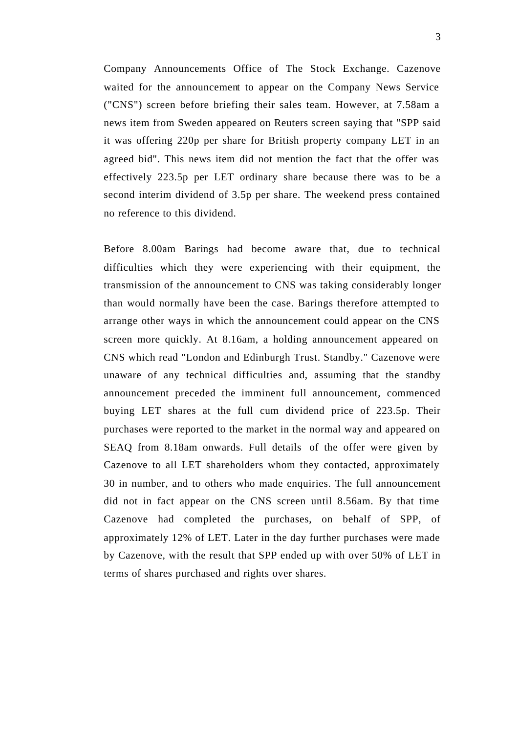Company Announcements Office of The Stock Exchange. Cazenove waited for the announcement to appear on the Company News Service ("CNS") screen before briefing their sales team. However, at 7.58am a news item from Sweden appeared on Reuters screen saying that "SPP said it was offering 220p per share for British property company LET in an agreed bid". This news item did not mention the fact that the offer was effectively 223.5p per LET ordinary share because there was to be a second interim dividend of 3.5p per share. The weekend press contained no reference to this dividend.

Before 8.00am Barings had become aware that, due to technical difficulties which they were experiencing with their equipment, the transmission of the announcement to CNS was taking considerably longer than would normally have been the case. Barings therefore attempted to arrange other ways in which the announcement could appear on the CNS screen more quickly. At 8.16am, a holding announcement appeared on CNS which read "London and Edinburgh Trust. Standby." Cazenove were unaware of any technical difficulties and, assuming that the standby announcement preceded the imminent full announcement, commenced buying LET shares at the full cum dividend price of 223.5p. Their purchases were reported to the market in the normal way and appeared on SEAQ from 8.18am onwards. Full details of the offer were given by Cazenove to all LET shareholders whom they contacted, approximately 30 in number, and to others who made enquiries. The full announcement did not in fact appear on the CNS screen until 8.56am. By that time Cazenove had completed the purchases, on behalf of SPP, of approximately 12% of LET. Later in the day further purchases were made by Cazenove, with the result that SPP ended up with over 50% of LET in terms of shares purchased and rights over shares.